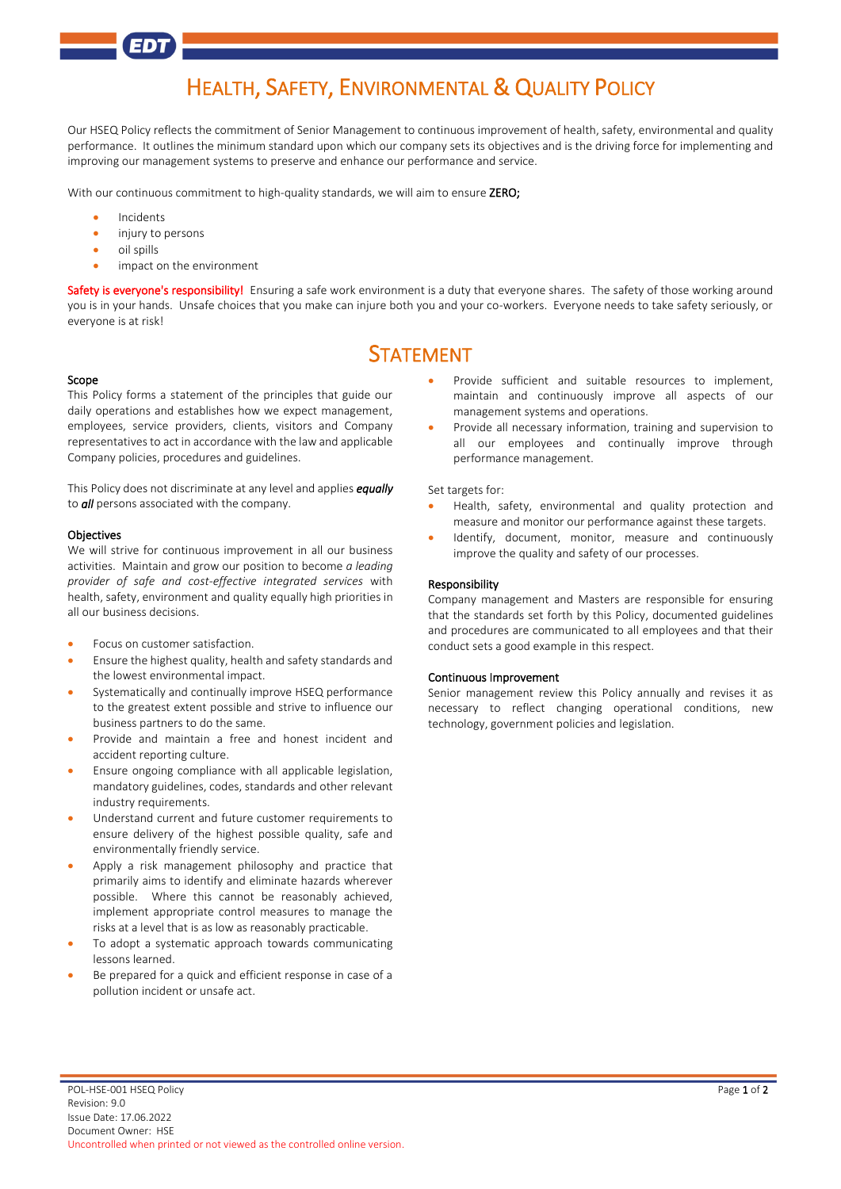# HEALTH, SAFETY, ENVIRONMENTAL & QUALITY POLICY

Our HSEQ Policy reflects the commitment of Senior Management to continuous improvement of health, safety, environmental and quality performance. It outlines the minimum standard upon which our company sets its objectives and is the driving force for implementing and improving our management systems to preserve and enhance our performance and service.

With our continuous commitment to high-quality standards, we will aim to ensure ZERO;

- **Incidents**
- injury to persons
- oil spills
- impact on the environment

Safety is everyone's responsibility! Ensuring a safe work environment is a duty that everyone shares. The safety of those working around you is in your hands. Unsafe choices that you make can injure both you and your co-workers. Everyone needs to take safety seriously, or everyone is at risk!

## STATEMENT

#### Scope

This Policy forms a statement of the principles that guide our daily operations and establishes how we expect management, employees, service providers, clients, visitors and Company representatives to act in accordance with the law and applicable Company policies, procedures and guidelines.

This Policy does not discriminate at any level and applies *equally* to *all* persons associated with the company.

#### **Objectives**

We will strive for continuous improvement in all our business activities. Maintain and grow our position to become *a leading provider of safe and cost-effective integrated services* with health, safety, environment and quality equally high priorities in all our business decisions.

- Focus on customer satisfaction.
- Ensure the highest quality, health and safety standards and the lowest environmental impact.
- Systematically and continually improve HSEQ performance to the greatest extent possible and strive to influence our business partners to do the same.
- Provide and maintain a free and honest incident and accident reporting culture.
- Ensure ongoing compliance with all applicable legislation, mandatory guidelines, codes, standards and other relevant industry requirements.
- Understand current and future customer requirements to ensure delivery of the highest possible quality, safe and environmentally friendly service.
- Apply a risk management philosophy and practice that primarily aims to identify and eliminate hazards wherever possible. Where this cannot be reasonably achieved, implement appropriate control measures to manage the risks at a level that is as low as reasonably practicable.
- To adopt a systematic approach towards communicating lessons learned.
- Be prepared for a quick and efficient response in case of a pollution incident or unsafe act.
- Provide sufficient and suitable resources to implement, maintain and continuously improve all aspects of our management systems and operations.
- Provide all necessary information, training and supervision to all our employees and continually improve through performance management.

#### Set targets for:

- Health, safety, environmental and quality protection and measure and monitor our performance against these targets.
- Identify, document, monitor, measure and continuously improve the quality and safety of our processes.

#### Responsibility

Company management and Masters are responsible for ensuring that the standards set forth by this Policy, documented guidelines and procedures are communicated to all employees and that their conduct sets a good example in this respect.

#### Continuous Improvement

Senior management review this Policy annually and revises it as necessary to reflect changing operational conditions, new technology, government policies and legislation.